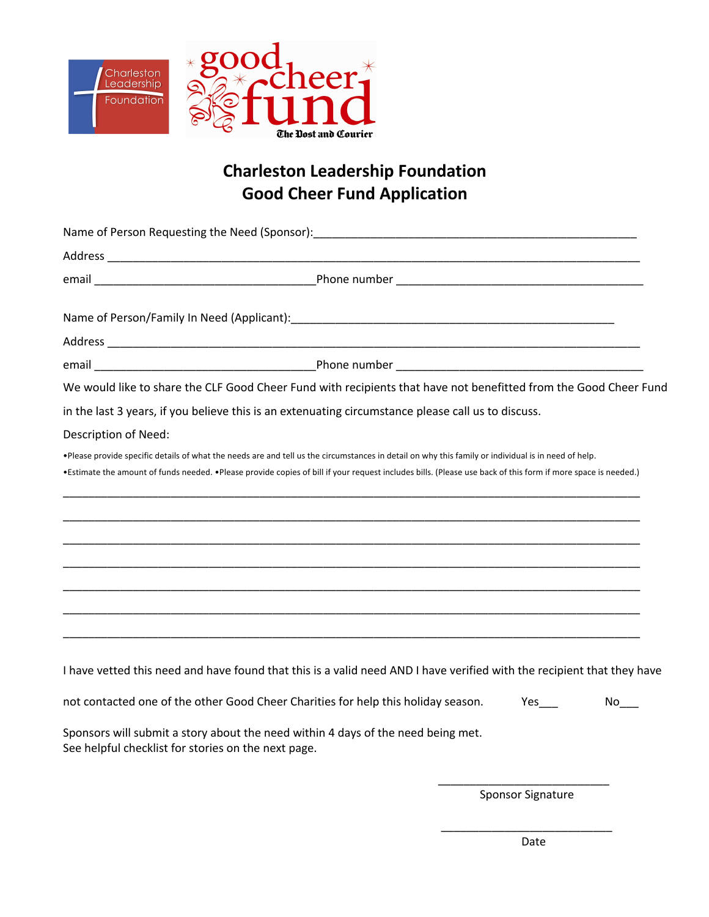

## **Charleston Leadership Foundation Good Cheer Fund Application**

|                                                     | We would like to share the CLF Good Cheer Fund with recipients that have not benefitted from the Good Cheer Fund                                                                                                                                                                                                    |                     |
|-----------------------------------------------------|---------------------------------------------------------------------------------------------------------------------------------------------------------------------------------------------------------------------------------------------------------------------------------------------------------------------|---------------------|
|                                                     | in the last 3 years, if you believe this is an extenuating circumstance please call us to discuss.                                                                                                                                                                                                                  |                     |
| Description of Need:                                |                                                                                                                                                                                                                                                                                                                     |                     |
|                                                     | .Please provide specific details of what the needs are and tell us the circumstances in detail on why this family or individual is in need of help.<br>•Estimate the amount of funds needed. •Please provide copies of bill if your request includes bills. (Please use back of this form if more space is needed.) |                     |
|                                                     |                                                                                                                                                                                                                                                                                                                     |                     |
|                                                     |                                                                                                                                                                                                                                                                                                                     |                     |
|                                                     |                                                                                                                                                                                                                                                                                                                     |                     |
|                                                     |                                                                                                                                                                                                                                                                                                                     |                     |
|                                                     |                                                                                                                                                                                                                                                                                                                     |                     |
|                                                     |                                                                                                                                                                                                                                                                                                                     |                     |
|                                                     |                                                                                                                                                                                                                                                                                                                     |                     |
|                                                     | I have vetted this need and have found that this is a valid need AND I have verified with the recipient that they have                                                                                                                                                                                              |                     |
|                                                     | not contacted one of the other Good Cheer Charities for help this holiday season.                                                                                                                                                                                                                                   | $No$ <sub>___</sub> |
| See helpful checklist for stories on the next page. | Sponsors will submit a story about the need within 4 days of the need being met.                                                                                                                                                                                                                                    |                     |

 $\overline{\phantom{a}}$  , and the contract of the contract of the contract of the contract of the contract of the contract of the contract of the contract of the contract of the contract of the contract of the contract of the contrac

\_\_\_\_\_\_\_\_\_\_\_\_\_\_\_\_\_\_\_\_\_\_\_\_\_\_\_ Sponsor Signature

Date